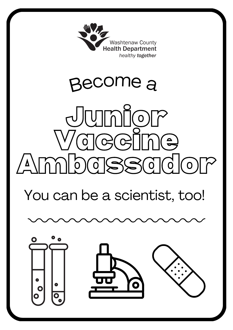

## Become a

# $J$ umic Vaccine  $\triangle$ mmbassador $\sim$

## You can be a scientist, too!

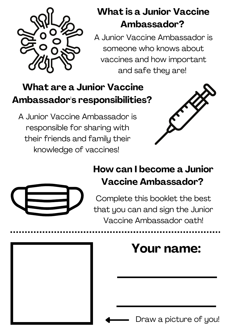

### **What is a Junior Vaccine Ambassador?**

A Junior Vaccine Ambassador is someone who knows about vaccines and how important and safe they are!

### **What are a Junior Vaccine Ambassador's responsibilities?**

A Junior Vaccine Ambassador is responsible for sharing with their friends and family their knowledge of vaccines!





### **How can I become a Junior Vaccine Ambassador?**

Complete this booklet the best that you can and sign the Junior Vaccine Ambassador oath!

### **Your name:**

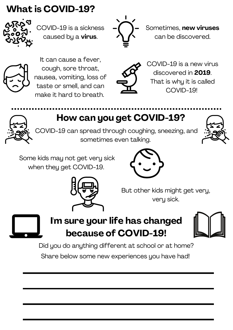### **What is COVID-19?**



COVID-19 is a sickness caused by a **virus**.



Sometimes, **new viruses** can be discovered.



It can cause a fever, cough, sore throat, nausea, vomiting, loss of taste or smell, and can make it hard to breath.



COVID-19 is a new virus discovered in **2019**. That is why it is called COVID-19!

**How can you get COVID-19?**

COVID-19 can spread through coughing, sneezing, and sometimes even talking.



Some kids may not get very sick when they get COVID-19.





But other kids might get very, very sick.



**I'm sure your life has changed because of COVID-19!**



Did you do anything different at school or at home?

Share below some new experiences you have had!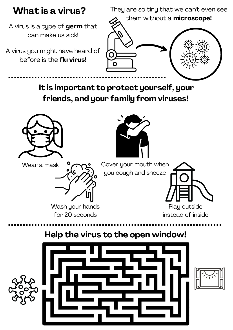

A virus is a type of **germ** that can make us sick!

A virus you might have heard of before is the **flu virus!**



**It is important to protect yourself, your friends, and your family from viruses!**







Wash your hands for 20 seconds

Wear a mask  $\circ$   $\sim$  Cover your mouth when you cough and sneeze



instead of inside

**Help the virus to the open window!**



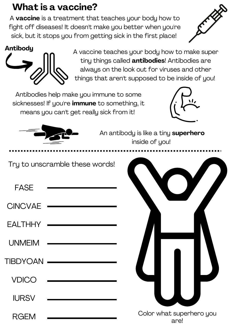### **What is a vaccine?**

A **vaccine** is a treatment that teaches your body how to fight off diseases! It doesn't make you better when you're sick, but it stops you from getting sick in the first place!





A vaccine teaches your body how to make super tiny things called **antibodies**! Antibodies are always on the look out for viruses and other things that aren't supposed to be inside of you!

Antibodies help make you immune to some sicknesses! If you're **immune** to something, it means you can't get really sick from it!





An antibody is like a tiny **superhero** inside of you!

Try to unscramble these words!

FASE

**CINCVAE** 

**EALTHHY** 

UNMEIM

TIBDYOAN

VDICO

IURSV

Color what superhero you

are!

RGEM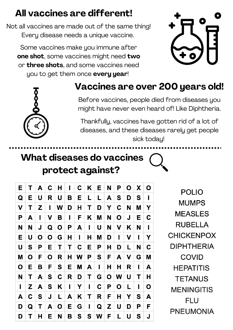### **All vaccines are different!**

Not all vaccines are made out of the same thing! Every disease needs a unique vaccine.

Some vaccines make you immune after **one shot**, some vaccines might need **two** or **three shots**, and some vaccines need you to get them once **every year**!





### **Vaccines are over 200 years old!**

Before vaccines, people died from diseases you might have never even heard of! Like Diphtheria.

Thankfully, vaccines have gotten rid of a lot of diseases, and these diseases rarely get people sick today!

### **What diseases do vaccines protect against?**

| Е           | Τ | A | C            | Н           | I | C. | K            | E.          | N           | Ρ           | O | X | O |
|-------------|---|---|--------------|-------------|---|----|--------------|-------------|-------------|-------------|---|---|---|
| Q           | Е | U | R            | U           | Β | E  | L            | L           | A           | S           | D | S | ı |
| V           | Τ | Z | ı            | W           | D | Η  | T            | D           | Y           | C           | N | M | Υ |
| P           | A | I | V            | B           | I | F  | Κ            | M           | N           | O           | J | Е | C |
| N           | N | J | Q            | O           | P | A  | $\mathbf{I}$ | U           | N           | V           | K | N | ı |
| Е           | U | O | $\mathbf{O}$ | G           | Н | I  | Н            | Μ           | D           | ı           | V | ı | Y |
| U           | S | P | Е            | Τ           | T | C  | Е            | P           | Η           | D           | L | N | C |
| M           | O | F | O            | R           | н | W  | P            | S           | F           | A           | V | G | M |
| $\mathbf O$ | Е | Β | F            | S           | Е | M  | A            | I           | Н           | Η           | R | I | A |
| N           | Τ | A | S            | $\mathbf C$ | R | D  | Τ            | G           | $\mathbf O$ | W           | U | Τ | Η |
| I           | Z | A | S            | K           | I | Y  | ı            | $\mathbf C$ | P           | $\mathbf O$ | L | ı | O |
| A           | C | S | J            | L           | A | K  | Τ            | R           | F           | H           | Y | S | A |
| D           | Q | Τ | A            | O           | Е | G  | I            | Q           | Z           | U           | D | Ρ | F |
| D           | Τ | Н | Е            | N           | Β | S  | S            | W           | F           | L           | U | S | J |

**POLIO MUMPS MEASLES RUBELLA CHICKENPOX DIPHTHERIA COVID HEPATITIS TETANUS MENINGITIS FLU PNEUMONIA**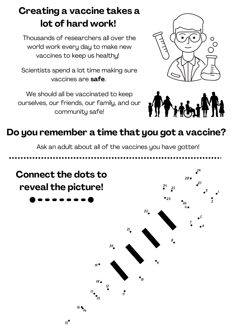### **Creating a vaccine takes a lot of hard work!**

Thousands of researchers all over the world work every day to make new vaccines to keep us healthy!

Scientists spend a lot time making sure vaccines are **safe**.

We should all be vaccinated to keep ourselves, our friends, our family, and our community safe!





### **Do you remember a time that you got a vaccine?**

Ask an adult about all of the vaccines you have gotten!